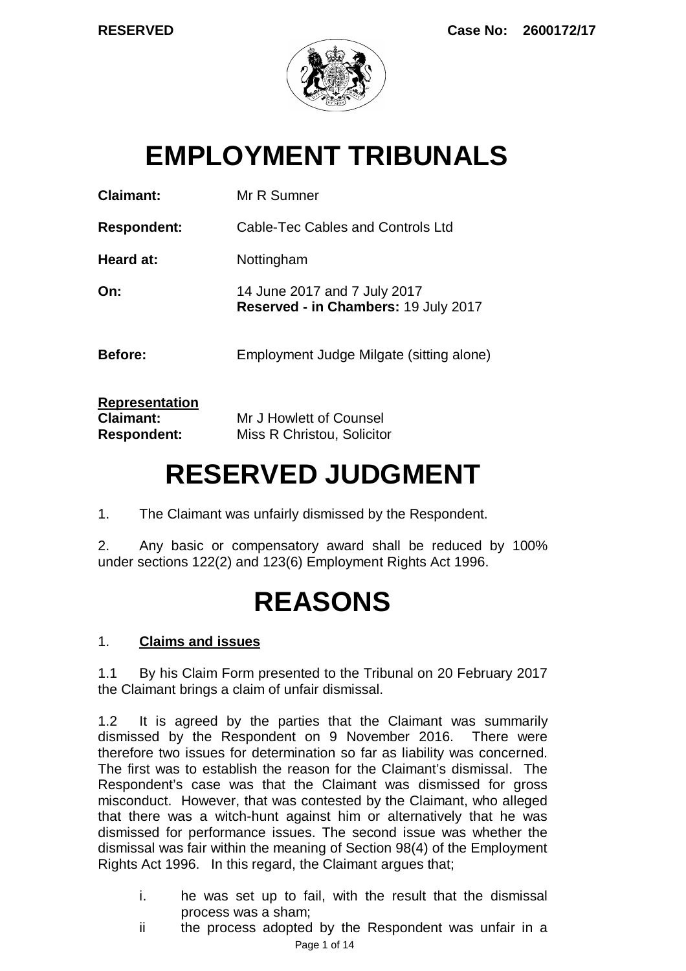

# **EMPLOYMENT TRIBUNALS**

| <b>Claimant:</b>                                                | Mr R Sumner                                                          |
|-----------------------------------------------------------------|----------------------------------------------------------------------|
| <b>Respondent:</b>                                              | Cable-Tec Cables and Controls Ltd                                    |
| Heard at:                                                       | Nottingham                                                           |
| On:                                                             | 14 June 2017 and 7 July 2017<br>Reserved - in Chambers: 19 July 2017 |
| Before:                                                         | Employment Judge Milgate (sitting alone)                             |
| <b>Representation</b><br><b>Claimant:</b><br><b>Respondent:</b> | Mr J Howlett of Counsel<br>Miss R Christou, Solicitor                |

# **RESERVED JUDGMENT**

1. The Claimant was unfairly dismissed by the Respondent.

2. Any basic or compensatory award shall be reduced by 100% under sections 122(2) and 123(6) Employment Rights Act 1996.

# **REASONS**

# 1. **Claims and issues**

1.1 By his Claim Form presented to the Tribunal on 20 February 2017 the Claimant brings a claim of unfair dismissal.

1.2 It is agreed by the parties that the Claimant was summarily dismissed by the Respondent on 9 November 2016. There were therefore two issues for determination so far as liability was concerned. The first was to establish the reason for the Claimant's dismissal. The Respondent's case was that the Claimant was dismissed for gross misconduct. However, that was contested by the Claimant, who alleged that there was a witch-hunt against him or alternatively that he was dismissed for performance issues. The second issue was whether the dismissal was fair within the meaning of Section 98(4) of the Employment Rights Act 1996. In this regard, the Claimant argues that;

- i. he was set up to fail, with the result that the dismissal process was a sham;
- Page 1 of 14 ii the process adopted by the Respondent was unfair in a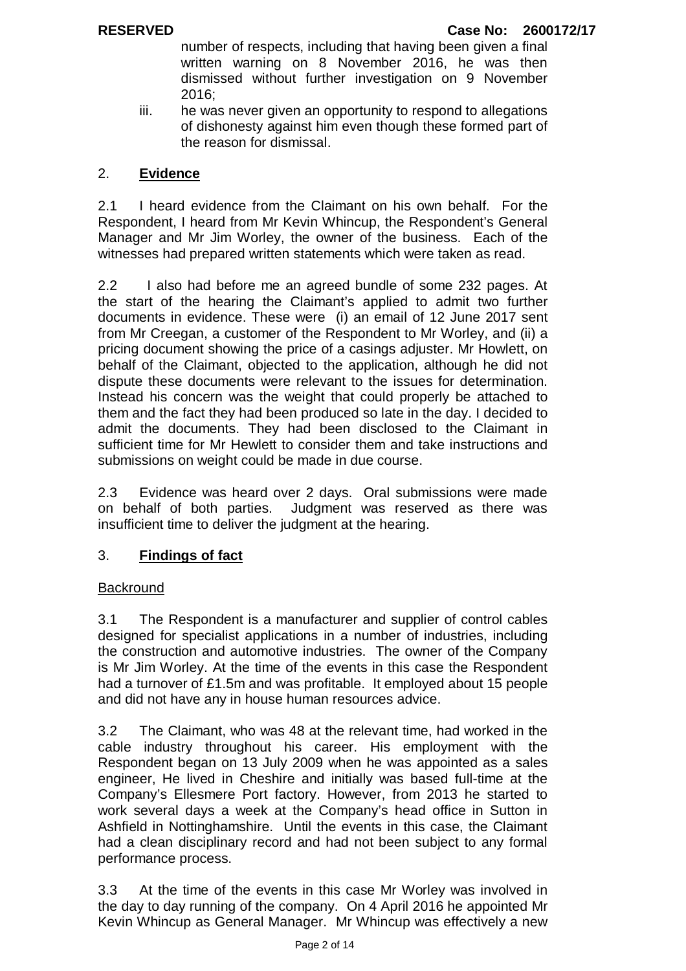number of respects, including that having been given a final written warning on 8 November 2016, he was then dismissed without further investigation on 9 November 2016;

iii. he was never given an opportunity to respond to allegations of dishonesty against him even though these formed part of the reason for dismissal.

## 2. **Evidence**

2.1 I heard evidence from the Claimant on his own behalf. For the Respondent, I heard from Mr Kevin Whincup, the Respondent's General Manager and Mr Jim Worley, the owner of the business. Each of the witnesses had prepared written statements which were taken as read.

2.2 I also had before me an agreed bundle of some 232 pages. At the start of the hearing the Claimant's applied to admit two further documents in evidence. These were (i) an email of 12 June 2017 sent from Mr Creegan, a customer of the Respondent to Mr Worley, and (ii) a pricing document showing the price of a casings adjuster. Mr Howlett, on behalf of the Claimant, objected to the application, although he did not dispute these documents were relevant to the issues for determination. Instead his concern was the weight that could properly be attached to them and the fact they had been produced so late in the day. I decided to admit the documents. They had been disclosed to the Claimant in sufficient time for Mr Hewlett to consider them and take instructions and submissions on weight could be made in due course.

2.3 Evidence was heard over 2 days. Oral submissions were made on behalf of both parties. Judgment was reserved as there was insufficient time to deliver the judgment at the hearing.

# 3. **Findings of fact**

### **Backround**

3.1 The Respondent is a manufacturer and supplier of control cables designed for specialist applications in a number of industries, including the construction and automotive industries. The owner of the Company is Mr Jim Worley. At the time of the events in this case the Respondent had a turnover of £1.5m and was profitable. It employed about 15 people and did not have any in house human resources advice.

3.2 The Claimant, who was 48 at the relevant time, had worked in the cable industry throughout his career. His employment with the Respondent began on 13 July 2009 when he was appointed as a sales engineer, He lived in Cheshire and initially was based full-time at the Company's Ellesmere Port factory. However, from 2013 he started to work several days a week at the Company's head office in Sutton in Ashfield in Nottinghamshire. Until the events in this case, the Claimant had a clean disciplinary record and had not been subject to any formal performance process.

3.3 At the time of the events in this case Mr Worley was involved in the day to day running of the company. On 4 April 2016 he appointed Mr Kevin Whincup as General Manager. Mr Whincup was effectively a new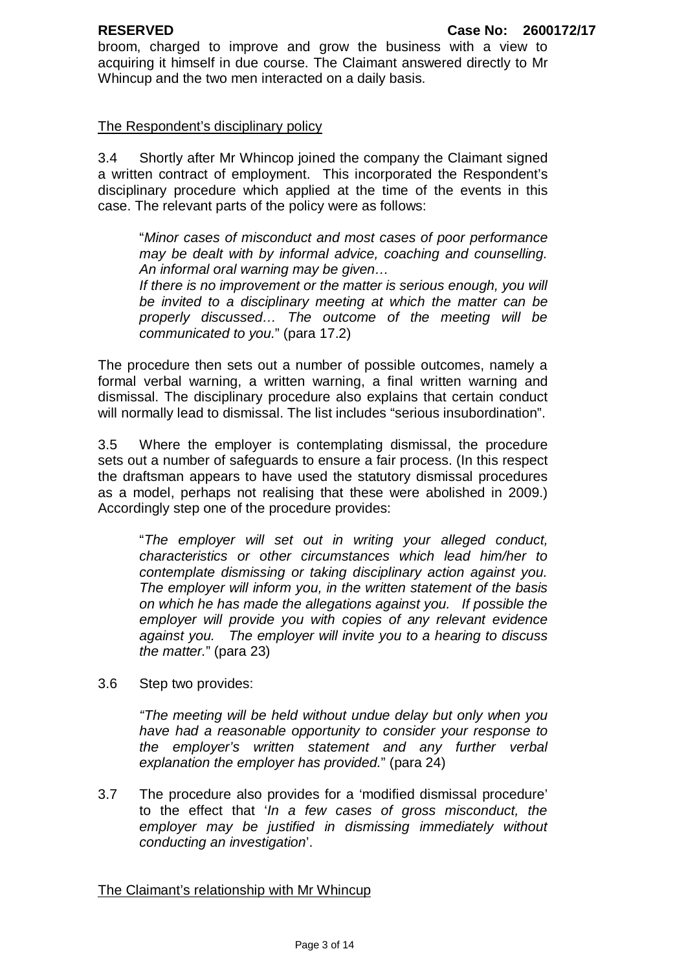broom, charged to improve and grow the business with a view to acquiring it himself in due course. The Claimant answered directly to Mr Whincup and the two men interacted on a daily basis.

### The Respondent's disciplinary policy

3.4 Shortly after Mr Whincop joined the company the Claimant signed a written contract of employment. This incorporated the Respondent's disciplinary procedure which applied at the time of the events in this case. The relevant parts of the policy were as follows:

"*Minor cases of misconduct and most cases of poor performance may be dealt with by informal advice, coaching and counselling. An informal oral warning may be given…*

*If there is no improvement or the matter is serious enough, you will be invited to a disciplinary meeting at which the matter can be properly discussed… The outcome of the meeting will be communicated to you.*" (para 17.2)

The procedure then sets out a number of possible outcomes, namely a formal verbal warning, a written warning, a final written warning and dismissal. The disciplinary procedure also explains that certain conduct will normally lead to dismissal. The list includes "serious insubordination".

3.5 Where the employer is contemplating dismissal, the procedure sets out a number of safeguards to ensure a fair process. (In this respect the draftsman appears to have used the statutory dismissal procedures as a model, perhaps not realising that these were abolished in 2009.) Accordingly step one of the procedure provides:

"*The employer will set out in writing your alleged conduct, characteristics or other circumstances which lead him/her to contemplate dismissing or taking disciplinary action against you. The employer will inform you, in the written statement of the basis on which he has made the allegations against you. If possible the employer will provide you with copies of any relevant evidence against you. The employer will invite you to a hearing to discuss the matter.*" (para 23)

3.6 Step two provides:

*"The meeting will be held without undue delay but only when you have had a reasonable opportunity to consider your response to the employer's written statement and any further verbal explanation the employer has provided.*" (para 24)

3.7 The procedure also provides for a 'modified dismissal procedure' to the effect that '*In a few cases of gross misconduct, the employer may be justified in dismissing immediately without conducting an investigation*'.

The Claimant's relationship with Mr Whincup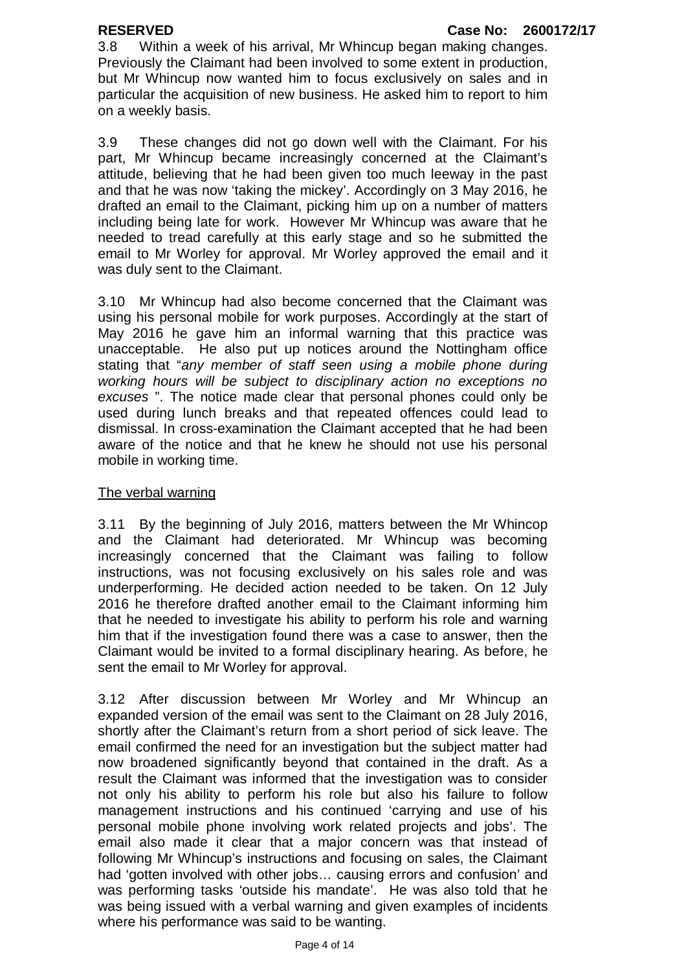3.8 Within a week of his arrival, Mr Whincup began making changes. Previously the Claimant had been involved to some extent in production, but Mr Whincup now wanted him to focus exclusively on sales and in particular the acquisition of new business. He asked him to report to him on a weekly basis.

3.9 These changes did not go down well with the Claimant. For his part, Mr Whincup became increasingly concerned at the Claimant's attitude, believing that he had been given too much leeway in the past and that he was now 'taking the mickey'. Accordingly on 3 May 2016, he drafted an email to the Claimant, picking him up on a number of matters including being late for work. However Mr Whincup was aware that he needed to tread carefully at this early stage and so he submitted the email to Mr Worley for approval. Mr Worley approved the email and it was duly sent to the Claimant.

3.10 Mr Whincup had also become concerned that the Claimant was using his personal mobile for work purposes. Accordingly at the start of May 2016 he gave him an informal warning that this practice was unacceptable. He also put up notices around the Nottingham office stating that "*any member of staff seen using a mobile phone during working hours will be subject to disciplinary action no exceptions no excuses* ". The notice made clear that personal phones could only be used during lunch breaks and that repeated offences could lead to dismissal. In cross-examination the Claimant accepted that he had been aware of the notice and that he knew he should not use his personal mobile in working time.

### The verbal warning

3.11 By the beginning of July 2016, matters between the Mr Whincop and the Claimant had deteriorated. Mr Whincup was becoming increasingly concerned that the Claimant was failing to follow instructions, was not focusing exclusively on his sales role and was underperforming. He decided action needed to be taken. On 12 July 2016 he therefore drafted another email to the Claimant informing him that he needed to investigate his ability to perform his role and warning him that if the investigation found there was a case to answer, then the Claimant would be invited to a formal disciplinary hearing. As before, he sent the email to Mr Worley for approval.

3.12 After discussion between Mr Worley and Mr Whincup an expanded version of the email was sent to the Claimant on 28 July 2016, shortly after the Claimant's return from a short period of sick leave. The email confirmed the need for an investigation but the subject matter had now broadened significantly beyond that contained in the draft. As a result the Claimant was informed that the investigation was to consider not only his ability to perform his role but also his failure to follow management instructions and his continued 'carrying and use of his personal mobile phone involving work related projects and jobs'. The email also made it clear that a major concern was that instead of following Mr Whincup's instructions and focusing on sales, the Claimant had 'gotten involved with other jobs… causing errors and confusion' and was performing tasks 'outside his mandate'. He was also told that he was being issued with a verbal warning and given examples of incidents where his performance was said to be wanting.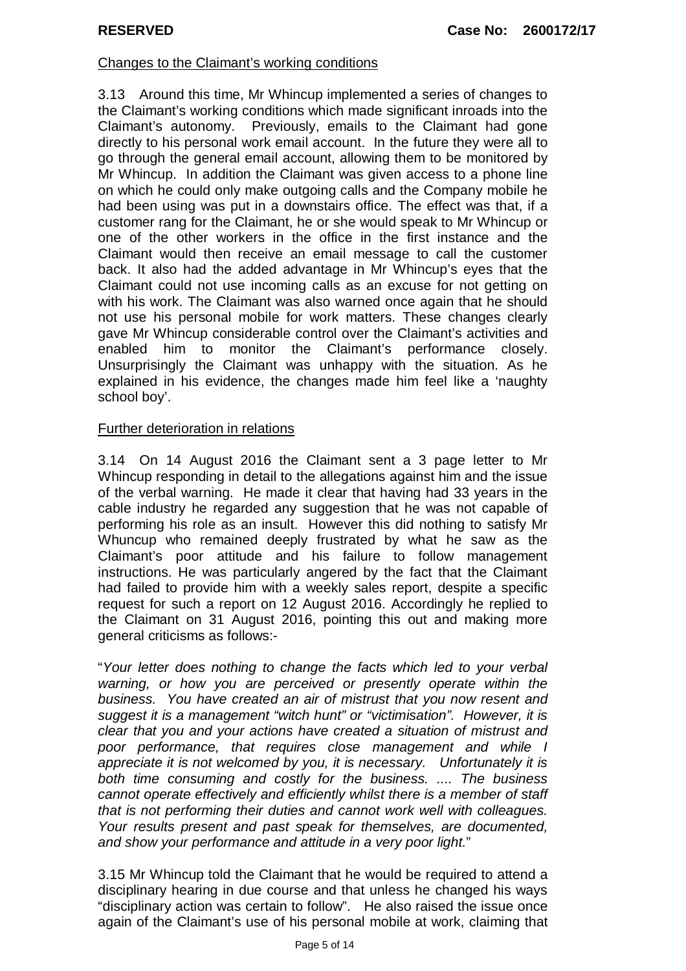### Changes to the Claimant's working conditions

3.13 Around this time, Mr Whincup implemented a series of changes to the Claimant's working conditions which made significant inroads into the Claimant's autonomy. Previously, emails to the Claimant had gone directly to his personal work email account. In the future they were all to go through the general email account, allowing them to be monitored by Mr Whincup. In addition the Claimant was given access to a phone line on which he could only make outgoing calls and the Company mobile he had been using was put in a downstairs office. The effect was that, if a customer rang for the Claimant, he or she would speak to Mr Whincup or one of the other workers in the office in the first instance and the Claimant would then receive an email message to call the customer back. It also had the added advantage in Mr Whincup's eyes that the Claimant could not use incoming calls as an excuse for not getting on with his work. The Claimant was also warned once again that he should not use his personal mobile for work matters. These changes clearly gave Mr Whincup considerable control over the Claimant's activities and enabled him to monitor the Claimant's performance closely. Unsurprisingly the Claimant was unhappy with the situation. As he explained in his evidence, the changes made him feel like a 'naughty school boy'.

### Further deterioration in relations

3.14 On 14 August 2016 the Claimant sent a 3 page letter to Mr Whincup responding in detail to the allegations against him and the issue of the verbal warning. He made it clear that having had 33 years in the cable industry he regarded any suggestion that he was not capable of performing his role as an insult. However this did nothing to satisfy Mr Whuncup who remained deeply frustrated by what he saw as the Claimant's poor attitude and his failure to follow management instructions. He was particularly angered by the fact that the Claimant had failed to provide him with a weekly sales report, despite a specific request for such a report on 12 August 2016. Accordingly he replied to the Claimant on 31 August 2016, pointing this out and making more general criticisms as follows:-

"*Your letter does nothing to change the facts which led to your verbal warning, or how you are perceived or presently operate within the business. You have created an air of mistrust that you now resent and suggest it is a management "witch hunt" or "victimisation". However, it is clear that you and your actions have created a situation of mistrust and poor performance, that requires close management and while I appreciate it is not welcomed by you, it is necessary. Unfortunately it is both time consuming and costly for the business. .... The business cannot operate effectively and efficiently whilst there is a member of staff that is not performing their duties and cannot work well with colleagues. Your results present and past speak for themselves, are documented, and show your performance and attitude in a very poor light.*"

3.15 Mr Whincup told the Claimant that he would be required to attend a disciplinary hearing in due course and that unless he changed his ways "disciplinary action was certain to follow". He also raised the issue once again of the Claimant's use of his personal mobile at work, claiming that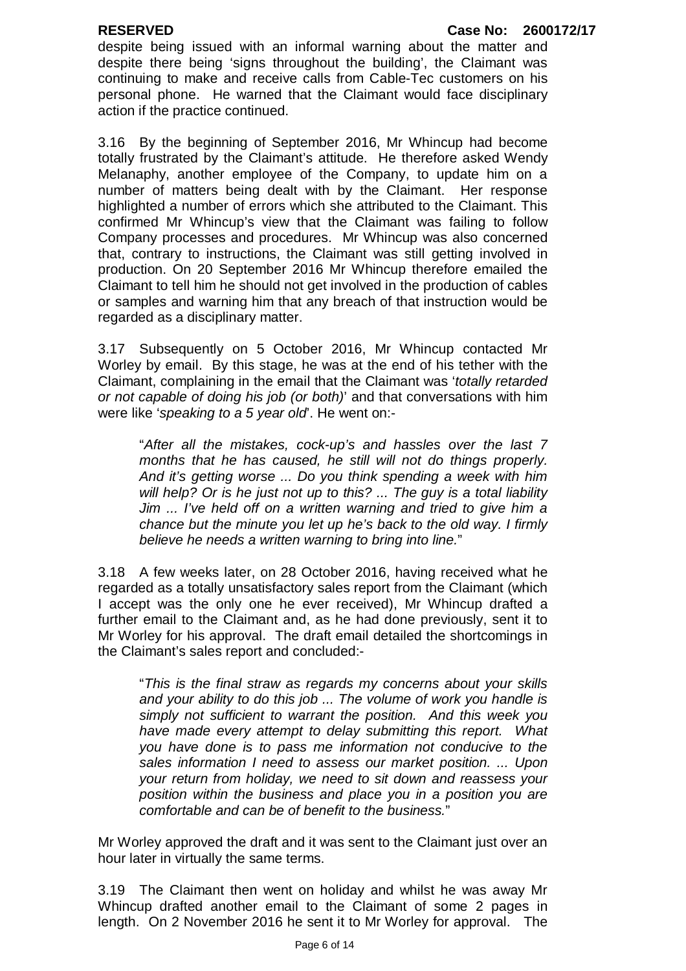despite being issued with an informal warning about the matter and despite there being 'signs throughout the building', the Claimant was continuing to make and receive calls from Cable-Tec customers on his personal phone. He warned that the Claimant would face disciplinary action if the practice continued.

3.16 By the beginning of September 2016, Mr Whincup had become totally frustrated by the Claimant's attitude. He therefore asked Wendy Melanaphy, another employee of the Company, to update him on a number of matters being dealt with by the Claimant. Her response highlighted a number of errors which she attributed to the Claimant. This confirmed Mr Whincup's view that the Claimant was failing to follow Company processes and procedures. Mr Whincup was also concerned that, contrary to instructions, the Claimant was still getting involved in production. On 20 September 2016 Mr Whincup therefore emailed the Claimant to tell him he should not get involved in the production of cables or samples and warning him that any breach of that instruction would be regarded as a disciplinary matter.

3.17 Subsequently on 5 October 2016, Mr Whincup contacted Mr Worley by email. By this stage, he was at the end of his tether with the Claimant, complaining in the email that the Claimant was '*totally retarded or not capable of doing his job (or both)*' and that conversations with him were like '*speaking to a 5 year old*'. He went on:-

"*After all the mistakes, cock-up's and hassles over the last 7 months that he has caused, he still will not do things properly. And it's getting worse ... Do you think spending a week with him will help? Or is he just not up to this? ... The guy is a total liability Jim ... I've held off on a written warning and tried to give him a chance but the minute you let up he's back to the old way. I firmly believe he needs a written warning to bring into line.*"

3.18 A few weeks later, on 28 October 2016, having received what he regarded as a totally unsatisfactory sales report from the Claimant (which I accept was the only one he ever received), Mr Whincup drafted a further email to the Claimant and, as he had done previously, sent it to Mr Worley for his approval. The draft email detailed the shortcomings in the Claimant's sales report and concluded:-

"*This is the final straw as regards my concerns about your skills and your ability to do this job ... The volume of work you handle is simply not sufficient to warrant the position. And this week you have made every attempt to delay submitting this report. What you have done is to pass me information not conducive to the sales information I need to assess our market position. ... Upon your return from holiday, we need to sit down and reassess your position within the business and place you in a position you are comfortable and can be of benefit to the business.*"

Mr Worley approved the draft and it was sent to the Claimant just over an hour later in virtually the same terms.

3.19 The Claimant then went on holiday and whilst he was away Mr Whincup drafted another email to the Claimant of some 2 pages in length. On 2 November 2016 he sent it to Mr Worley for approval. The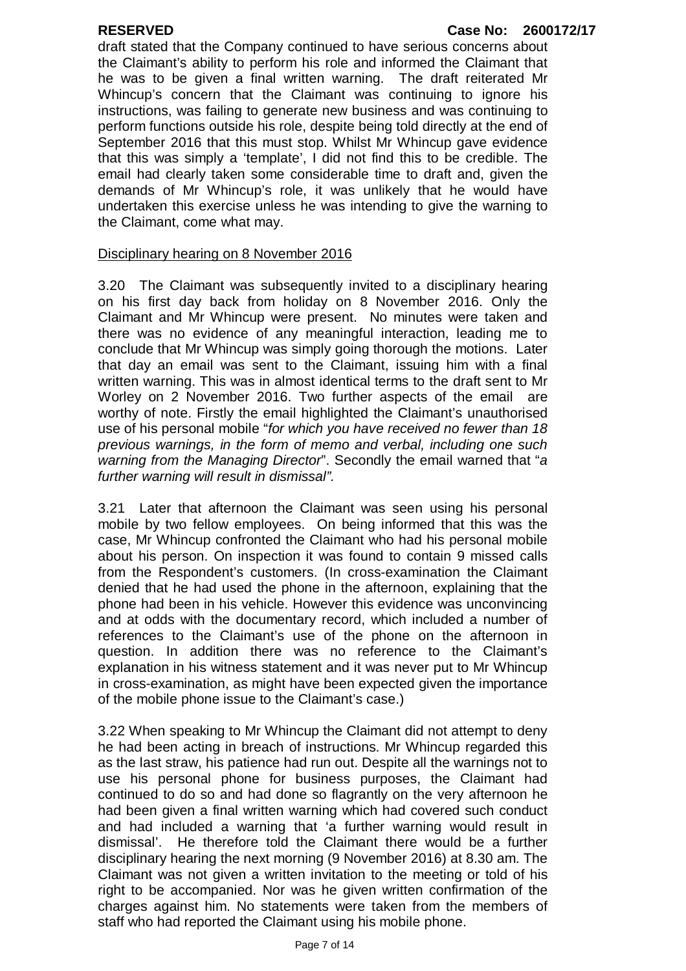#### **RESERVED Case No: 2600172/17**

draft stated that the Company continued to have serious concerns about the Claimant's ability to perform his role and informed the Claimant that he was to be given a final written warning. The draft reiterated Mr Whincup's concern that the Claimant was continuing to ignore his instructions, was failing to generate new business and was continuing to perform functions outside his role, despite being told directly at the end of September 2016 that this must stop. Whilst Mr Whincup gave evidence that this was simply a 'template', I did not find this to be credible. The email had clearly taken some considerable time to draft and, given the demands of Mr Whincup's role, it was unlikely that he would have undertaken this exercise unless he was intending to give the warning to the Claimant, come what may.

#### Disciplinary hearing on 8 November 2016

3.20 The Claimant was subsequently invited to a disciplinary hearing on his first day back from holiday on 8 November 2016. Only the Claimant and Mr Whincup were present. No minutes were taken and there was no evidence of any meaningful interaction, leading me to conclude that Mr Whincup was simply going thorough the motions. Later that day an email was sent to the Claimant, issuing him with a final written warning. This was in almost identical terms to the draft sent to Mr Worley on 2 November 2016. Two further aspects of the email are worthy of note. Firstly the email highlighted the Claimant's unauthorised use of his personal mobile "*for which you have received no fewer than 18 previous warnings, in the form of memo and verbal, including one such warning from the Managing Director*". Secondly the email warned that "*a further warning will result in dismissal".* 

3.21 Later that afternoon the Claimant was seen using his personal mobile by two fellow employees. On being informed that this was the case, Mr Whincup confronted the Claimant who had his personal mobile about his person. On inspection it was found to contain 9 missed calls from the Respondent's customers. (In cross-examination the Claimant denied that he had used the phone in the afternoon, explaining that the phone had been in his vehicle. However this evidence was unconvincing and at odds with the documentary record, which included a number of references to the Claimant's use of the phone on the afternoon in question. In addition there was no reference to the Claimant's explanation in his witness statement and it was never put to Mr Whincup in cross-examination, as might have been expected given the importance of the mobile phone issue to the Claimant's case.)

3.22 When speaking to Mr Whincup the Claimant did not attempt to deny he had been acting in breach of instructions. Mr Whincup regarded this as the last straw, his patience had run out. Despite all the warnings not to use his personal phone for business purposes, the Claimant had continued to do so and had done so flagrantly on the very afternoon he had been given a final written warning which had covered such conduct and had included a warning that 'a further warning would result in dismissal'. He therefore told the Claimant there would be a further disciplinary hearing the next morning (9 November 2016) at 8.30 am. The Claimant was not given a written invitation to the meeting or told of his right to be accompanied. Nor was he given written confirmation of the charges against him. No statements were taken from the members of staff who had reported the Claimant using his mobile phone.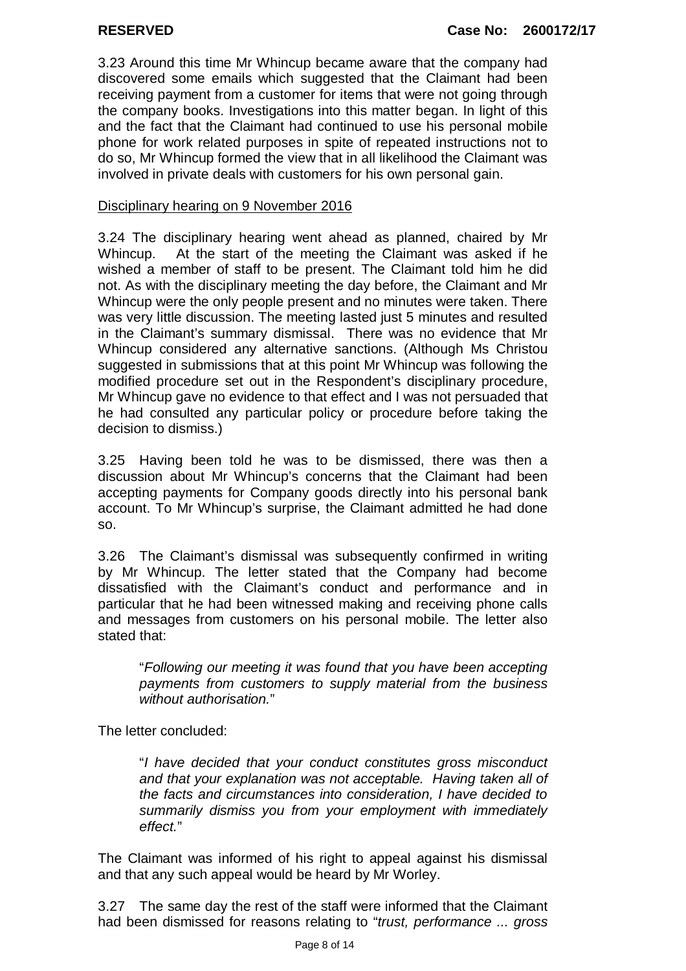3.23 Around this time Mr Whincup became aware that the company had discovered some emails which suggested that the Claimant had been receiving payment from a customer for items that were not going through the company books. Investigations into this matter began. In light of this and the fact that the Claimant had continued to use his personal mobile phone for work related purposes in spite of repeated instructions not to do so, Mr Whincup formed the view that in all likelihood the Claimant was involved in private deals with customers for his own personal gain.

### Disciplinary hearing on 9 November 2016

3.24 The disciplinary hearing went ahead as planned, chaired by Mr Whincup. At the start of the meeting the Claimant was asked if he wished a member of staff to be present. The Claimant told him he did not. As with the disciplinary meeting the day before, the Claimant and Mr Whincup were the only people present and no minutes were taken. There was very little discussion. The meeting lasted just 5 minutes and resulted in the Claimant's summary dismissal. There was no evidence that Mr Whincup considered any alternative sanctions. (Although Ms Christou suggested in submissions that at this point Mr Whincup was following the modified procedure set out in the Respondent's disciplinary procedure, Mr Whincup gave no evidence to that effect and I was not persuaded that he had consulted any particular policy or procedure before taking the decision to dismiss.)

3.25 Having been told he was to be dismissed, there was then a discussion about Mr Whincup's concerns that the Claimant had been accepting payments for Company goods directly into his personal bank account. To Mr Whincup's surprise, the Claimant admitted he had done so.

3.26 The Claimant's dismissal was subsequently confirmed in writing by Mr Whincup. The letter stated that the Company had become dissatisfied with the Claimant's conduct and performance and in particular that he had been witnessed making and receiving phone calls and messages from customers on his personal mobile. The letter also stated that:

"*Following our meeting it was found that you have been accepting payments from customers to supply material from the business without authorisation.*"

The letter concluded:

"*I have decided that your conduct constitutes gross misconduct and that your explanation was not acceptable. Having taken all of the facts and circumstances into consideration, I have decided to summarily dismiss you from your employment with immediately effect.*"

The Claimant was informed of his right to appeal against his dismissal and that any such appeal would be heard by Mr Worley.

3.27 The same day the rest of the staff were informed that the Claimant had been dismissed for reasons relating to "*trust, performance ... gross*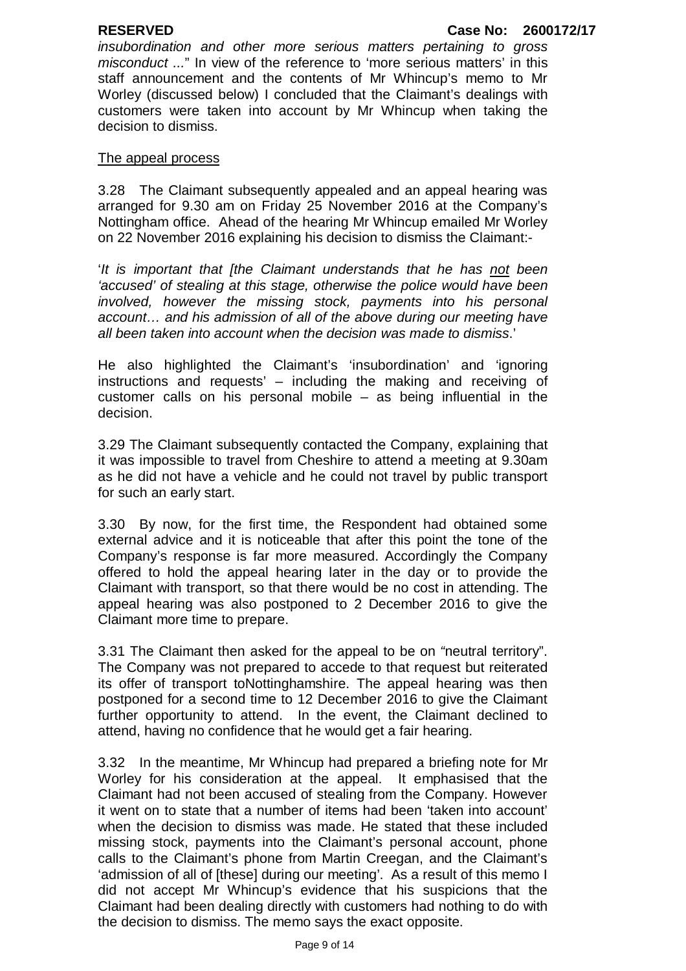*insubordination and other more serious matters pertaining to gross misconduct ...*" In view of the reference to 'more serious matters' in this staff announcement and the contents of Mr Whincup's memo to Mr Worley (discussed below) I concluded that the Claimant's dealings with customers were taken into account by Mr Whincup when taking the decision to dismiss.

### The appeal process

3.28 The Claimant subsequently appealed and an appeal hearing was arranged for 9.30 am on Friday 25 November 2016 at the Company's Nottingham office. Ahead of the hearing Mr Whincup emailed Mr Worley on 22 November 2016 explaining his decision to dismiss the Claimant:-

'*It is important that [the Claimant understands that he has not been 'accused' of stealing at this stage, otherwise the police would have been involved, however the missing stock, payments into his personal account… and his admission of all of the above during our meeting have all been taken into account when the decision was made to dismiss*.'

He also highlighted the Claimant's 'insubordination' and 'ignoring instructions and requests' – including the making and receiving of customer calls on his personal mobile – as being influential in the decision.

3.29 The Claimant subsequently contacted the Company, explaining that it was impossible to travel from Cheshire to attend a meeting at 9.30am as he did not have a vehicle and he could not travel by public transport for such an early start.

3.30 By now, for the first time, the Respondent had obtained some external advice and it is noticeable that after this point the tone of the Company's response is far more measured. Accordingly the Company offered to hold the appeal hearing later in the day or to provide the Claimant with transport, so that there would be no cost in attending. The appeal hearing was also postponed to 2 December 2016 to give the Claimant more time to prepare.

3.31 The Claimant then asked for the appeal to be on *"*neutral territory". The Company was not prepared to accede to that request but reiterated its offer of transport toNottinghamshire. The appeal hearing was then postponed for a second time to 12 December 2016 to give the Claimant further opportunity to attend. In the event, the Claimant declined to attend, having no confidence that he would get a fair hearing.

3.32 In the meantime, Mr Whincup had prepared a briefing note for Mr Worley for his consideration at the appeal. It emphasised that the Claimant had not been accused of stealing from the Company. However it went on to state that a number of items had been 'taken into account' when the decision to dismiss was made. He stated that these included missing stock, payments into the Claimant's personal account, phone calls to the Claimant's phone from Martin Creegan, and the Claimant's 'admission of all of [these] during our meeting'. As a result of this memo I did not accept Mr Whincup's evidence that his suspicions that the Claimant had been dealing directly with customers had nothing to do with the decision to dismiss. The memo says the exact opposite.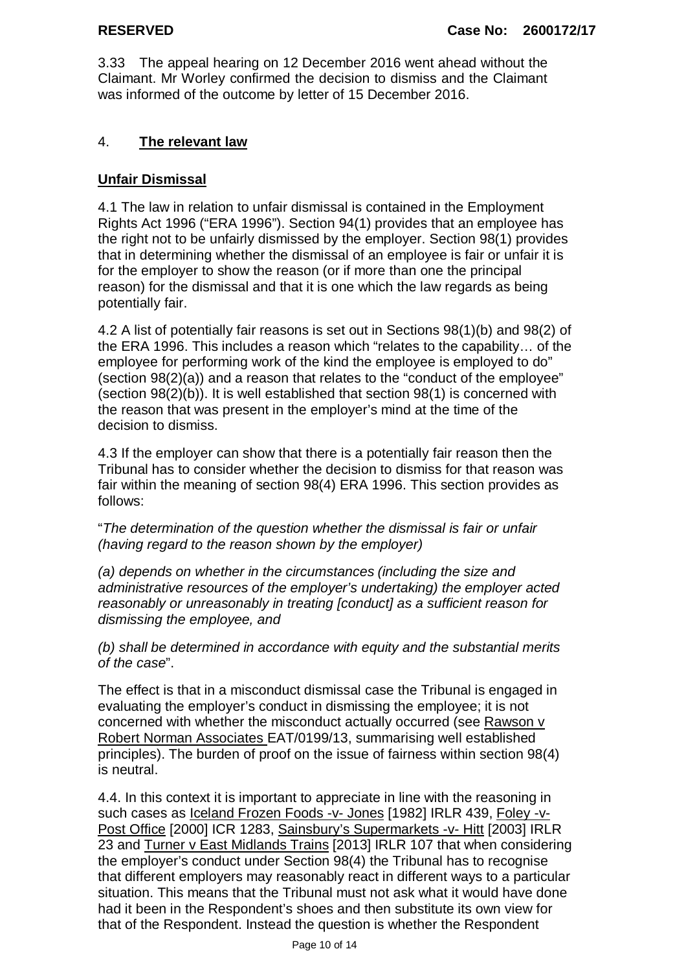3.33 The appeal hearing on 12 December 2016 went ahead without the Claimant. Mr Worley confirmed the decision to dismiss and the Claimant was informed of the outcome by letter of 15 December 2016.

## 4. **The relevant law**

## **Unfair Dismissal**

4.1 The law in relation to unfair dismissal is contained in the Employment Rights Act 1996 ("ERA 1996"). Section 94(1) provides that an employee has the right not to be unfairly dismissed by the employer. Section 98(1) provides that in determining whether the dismissal of an employee is fair or unfair it is for the employer to show the reason (or if more than one the principal reason) for the dismissal and that it is one which the law regards as being potentially fair.

4.2 A list of potentially fair reasons is set out in Sections 98(1)(b) and 98(2) of the ERA 1996. This includes a reason which "relates to the capability… of the employee for performing work of the kind the employee is employed to do" (section 98(2)(a)) and a reason that relates to the "conduct of the employee" (section 98(2)(b)). It is well established that section 98(1) is concerned with the reason that was present in the employer's mind at the time of the decision to dismiss.

4.3 If the employer can show that there is a potentially fair reason then the Tribunal has to consider whether the decision to dismiss for that reason was fair within the meaning of section 98(4) ERA 1996. This section provides as follows:

"*The determination of the question whether the dismissal is fair or unfair (having regard to the reason shown by the employer)* 

*(a) depends on whether in the circumstances (including the size and administrative resources of the employer's undertaking) the employer acted reasonably or unreasonably in treating [conduct] as a sufficient reason for dismissing the employee, and* 

*(b) shall be determined in accordance with equity and the substantial merits of the case*".

The effect is that in a misconduct dismissal case the Tribunal is engaged in evaluating the employer's conduct in dismissing the employee; it is not concerned with whether the misconduct actually occurred (see Rawson v Robert Norman Associates EAT/0199/13, summarising well established principles). The burden of proof on the issue of fairness within section 98(4) is neutral.

4.4. In this context it is important to appreciate in line with the reasoning in such cases as Iceland Frozen Foods -v- Jones [1982] IRLR 439, Foley -v-Post Office [2000] ICR 1283, Sainsbury's Supermarkets -v- Hitt [2003] IRLR 23 and Turner v East Midlands Trains [2013] IRLR 107 that when considering the employer's conduct under Section 98(4) the Tribunal has to recognise that different employers may reasonably react in different ways to a particular situation. This means that the Tribunal must not ask what it would have done had it been in the Respondent's shoes and then substitute its own view for that of the Respondent. Instead the question is whether the Respondent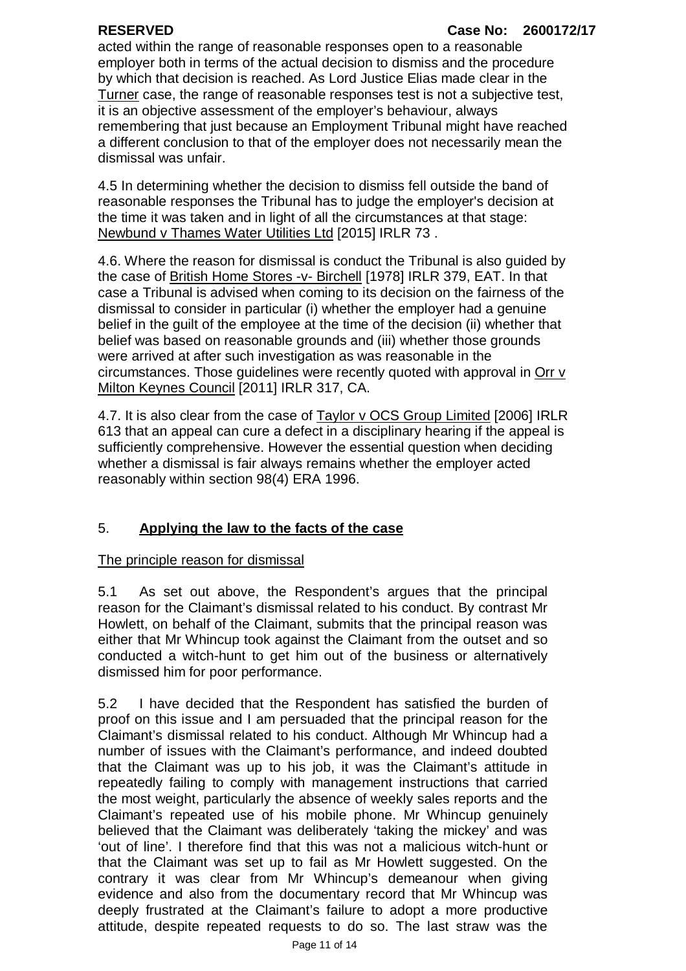acted within the range of reasonable responses open to a reasonable employer both in terms of the actual decision to dismiss and the procedure by which that decision is reached. As Lord Justice Elias made clear in the Turner case, the range of reasonable responses test is not a subjective test, it is an objective assessment of the employer's behaviour, always remembering that just because an Employment Tribunal might have reached a different conclusion to that of the employer does not necessarily mean the dismissal was unfair.

4.5 In determining whether the decision to dismiss fell outside the band of reasonable responses the Tribunal has to judge the employer's decision at the time it was taken and in light of all the circumstances at that stage: Newbund v Thames Water Utilities Ltd [2015] IRLR 73 .

4.6. Where the reason for dismissal is conduct the Tribunal is also guided by the case of British Home Stores -v- Birchell [1978] IRLR 379, EAT. In that case a Tribunal is advised when coming to its decision on the fairness of the dismissal to consider in particular (i) whether the employer had a genuine belief in the guilt of the employee at the time of the decision (ii) whether that belief was based on reasonable grounds and (iii) whether those grounds were arrived at after such investigation as was reasonable in the circumstances. Those quidelines were recently quoted with approval in Orr  $\vee$ Milton Keynes Council [2011] IRLR 317, CA.

4.7. It is also clear from the case of Taylor v OCS Group Limited [2006] IRLR 613 that an appeal can cure a defect in a disciplinary hearing if the appeal is sufficiently comprehensive. However the essential question when deciding whether a dismissal is fair always remains whether the employer acted reasonably within section 98(4) ERA 1996.

# 5. **Applying the law to the facts of the case**

### The principle reason for dismissal

5.1 As set out above, the Respondent's argues that the principal reason for the Claimant's dismissal related to his conduct. By contrast Mr Howlett, on behalf of the Claimant, submits that the principal reason was either that Mr Whincup took against the Claimant from the outset and so conducted a witch-hunt to get him out of the business or alternatively dismissed him for poor performance.

5.2 I have decided that the Respondent has satisfied the burden of proof on this issue and I am persuaded that the principal reason for the Claimant's dismissal related to his conduct. Although Mr Whincup had a number of issues with the Claimant's performance, and indeed doubted that the Claimant was up to his job, it was the Claimant's attitude in repeatedly failing to comply with management instructions that carried the most weight, particularly the absence of weekly sales reports and the Claimant's repeated use of his mobile phone. Mr Whincup genuinely believed that the Claimant was deliberately 'taking the mickey' and was 'out of line'. I therefore find that this was not a malicious witch-hunt or that the Claimant was set up to fail as Mr Howlett suggested. On the contrary it was clear from Mr Whincup's demeanour when giving evidence and also from the documentary record that Mr Whincup was deeply frustrated at the Claimant's failure to adopt a more productive attitude, despite repeated requests to do so. The last straw was the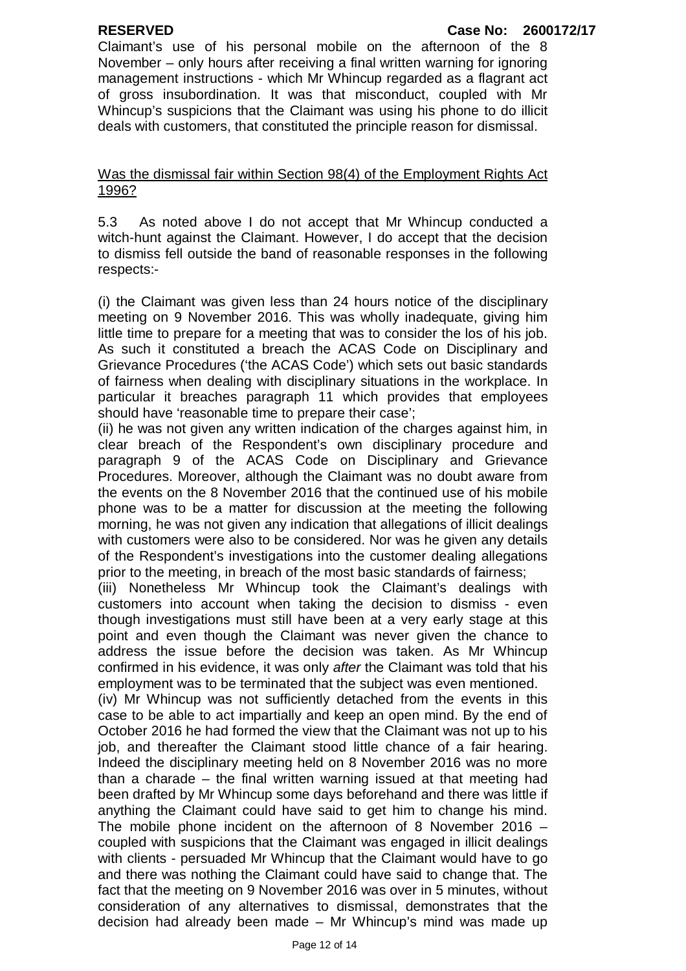Claimant's use of his personal mobile on the afternoon of the 8 November – only hours after receiving a final written warning for ignoring management instructions - which Mr Whincup regarded as a flagrant act of gross insubordination. It was that misconduct, coupled with Mr Whincup's suspicions that the Claimant was using his phone to do illicit deals with customers, that constituted the principle reason for dismissal.

### Was the dismissal fair within Section 98(4) of the Employment Rights Act 1996?

5.3 As noted above I do not accept that Mr Whincup conducted a witch-hunt against the Claimant. However, I do accept that the decision to dismiss fell outside the band of reasonable responses in the following respects:-

(i) the Claimant was given less than 24 hours notice of the disciplinary meeting on 9 November 2016. This was wholly inadequate, giving him little time to prepare for a meeting that was to consider the los of his job. As such it constituted a breach the ACAS Code on Disciplinary and Grievance Procedures ('the ACAS Code') which sets out basic standards of fairness when dealing with disciplinary situations in the workplace. In particular it breaches paragraph 11 which provides that employees should have 'reasonable time to prepare their case';

(ii) he was not given any written indication of the charges against him, in clear breach of the Respondent's own disciplinary procedure and paragraph 9 of the ACAS Code on Disciplinary and Grievance Procedures. Moreover, although the Claimant was no doubt aware from the events on the 8 November 2016 that the continued use of his mobile phone was to be a matter for discussion at the meeting the following morning, he was not given any indication that allegations of illicit dealings with customers were also to be considered. Nor was he given any details of the Respondent's investigations into the customer dealing allegations prior to the meeting, in breach of the most basic standards of fairness;

(iii) Nonetheless Mr Whincup took the Claimant's dealings with customers into account when taking the decision to dismiss - even though investigations must still have been at a very early stage at this point and even though the Claimant was never given the chance to address the issue before the decision was taken. As Mr Whincup confirmed in his evidence, it was only *after* the Claimant was told that his employment was to be terminated that the subject was even mentioned.

(iv) Mr Whincup was not sufficiently detached from the events in this case to be able to act impartially and keep an open mind. By the end of October 2016 he had formed the view that the Claimant was not up to his job, and thereafter the Claimant stood little chance of a fair hearing. Indeed the disciplinary meeting held on 8 November 2016 was no more than a charade – the final written warning issued at that meeting had been drafted by Mr Whincup some days beforehand and there was little if anything the Claimant could have said to get him to change his mind. The mobile phone incident on the afternoon of 8 November 2016 – coupled with suspicions that the Claimant was engaged in illicit dealings with clients - persuaded Mr Whincup that the Claimant would have to go and there was nothing the Claimant could have said to change that. The fact that the meeting on 9 November 2016 was over in 5 minutes, without consideration of any alternatives to dismissal, demonstrates that the decision had already been made – Mr Whincup's mind was made up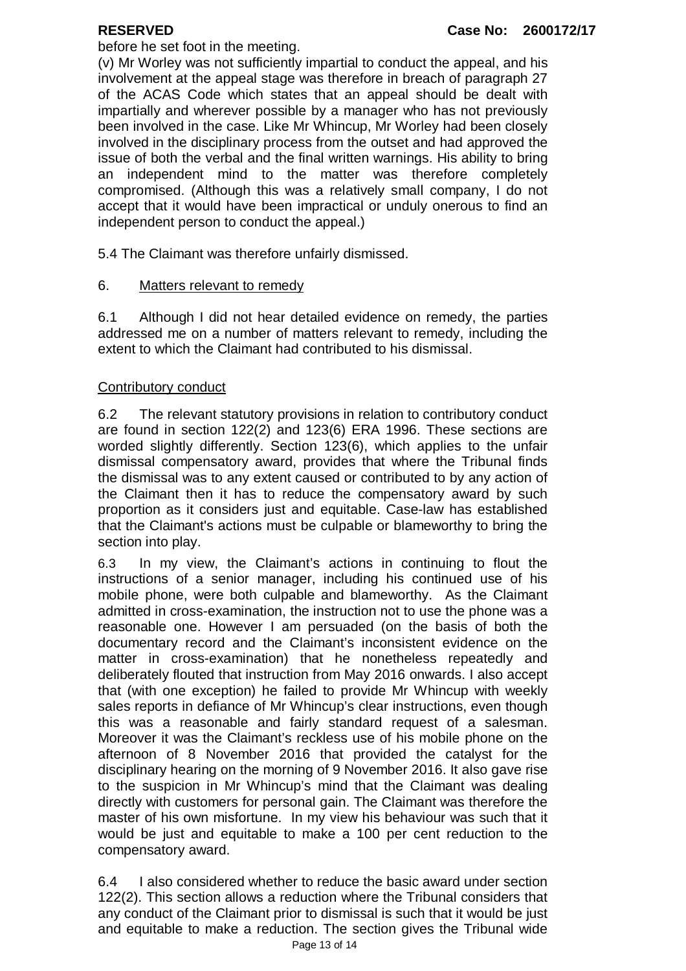before he set foot in the meeting.

(v) Mr Worley was not sufficiently impartial to conduct the appeal, and his involvement at the appeal stage was therefore in breach of paragraph 27 of the ACAS Code which states that an appeal should be dealt with impartially and wherever possible by a manager who has not previously been involved in the case. Like Mr Whincup, Mr Worley had been closely involved in the disciplinary process from the outset and had approved the issue of both the verbal and the final written warnings. His ability to bring an independent mind to the matter was therefore completely compromised. (Although this was a relatively small company, I do not accept that it would have been impractical or unduly onerous to find an independent person to conduct the appeal.)

5.4 The Claimant was therefore unfairly dismissed.

### 6. Matters relevant to remedy

6.1 Although I did not hear detailed evidence on remedy, the parties addressed me on a number of matters relevant to remedy, including the extent to which the Claimant had contributed to his dismissal.

### Contributory conduct

6.2 The relevant statutory provisions in relation to contributory conduct are found in section 122(2) and 123(6) ERA 1996. These sections are worded slightly differently. Section 123(6), which applies to the unfair dismissal compensatory award, provides that where the Tribunal finds the dismissal was to any extent caused or contributed to by any action of the Claimant then it has to reduce the compensatory award by such proportion as it considers just and equitable. Case-law has established that the Claimant's actions must be culpable or blameworthy to bring the section into play.

6.3 In my view, the Claimant's actions in continuing to flout the instructions of a senior manager, including his continued use of his mobile phone, were both culpable and blameworthy. As the Claimant admitted in cross-examination, the instruction not to use the phone was a reasonable one. However I am persuaded (on the basis of both the documentary record and the Claimant's inconsistent evidence on the matter in cross-examination) that he nonetheless repeatedly and deliberately flouted that instruction from May 2016 onwards. I also accept that (with one exception) he failed to provide Mr Whincup with weekly sales reports in defiance of Mr Whincup's clear instructions, even though this was a reasonable and fairly standard request of a salesman. Moreover it was the Claimant's reckless use of his mobile phone on the afternoon of 8 November 2016 that provided the catalyst for the disciplinary hearing on the morning of 9 November 2016. It also gave rise to the suspicion in Mr Whincup's mind that the Claimant was dealing directly with customers for personal gain. The Claimant was therefore the master of his own misfortune. In my view his behaviour was such that it would be just and equitable to make a 100 per cent reduction to the compensatory award.

Page 13 of 14 6.4 I also considered whether to reduce the basic award under section 122(2). This section allows a reduction where the Tribunal considers that any conduct of the Claimant prior to dismissal is such that it would be just and equitable to make a reduction. The section gives the Tribunal wide